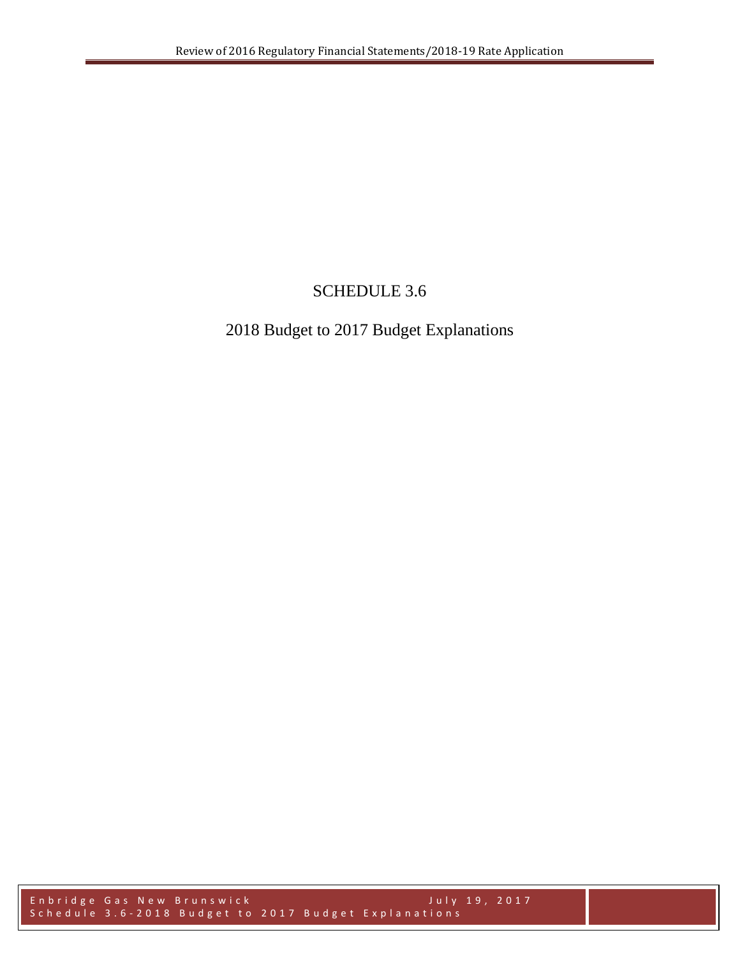# SCHEDULE 3.6

# 2018 Budget to 2017 Budget Explanations

Enbridge Gas New Brunswick July 19, 2017 Schedule 3.6-2018 Budget to 2017 Budget Explanations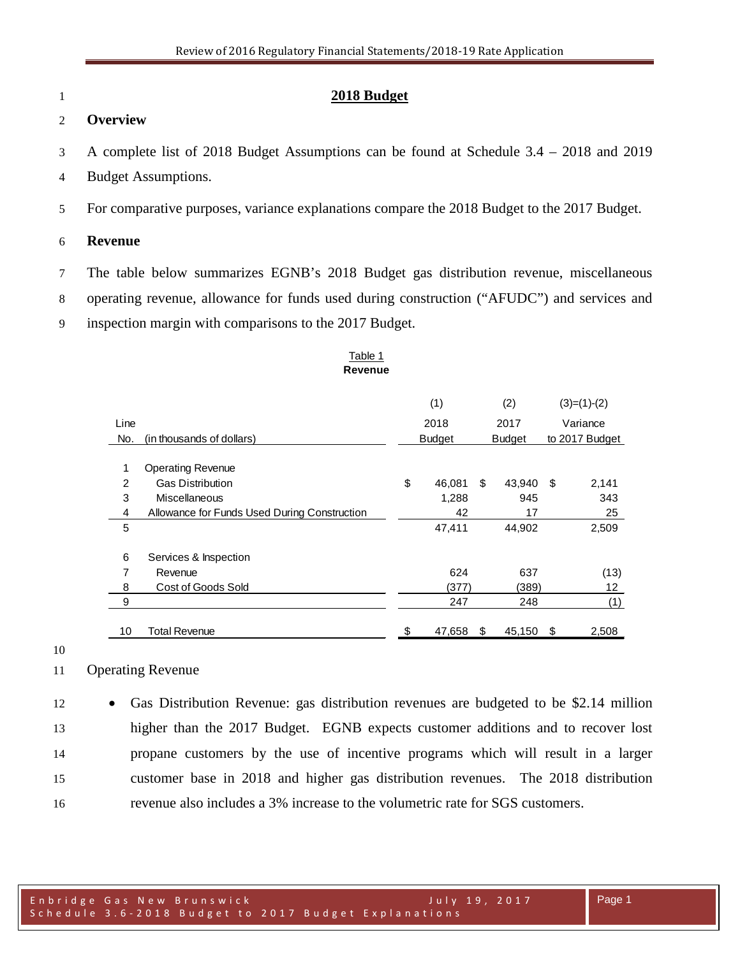# **2018 Budget**

## **Overview**

A complete list of 2018 Budget Assumptions can be found at Schedule 3.4 – 2018 and 2019

- Budget Assumptions.
- For comparative purposes, variance explanations compare the 2018 Budget to the 2017 Budget.

#### **Revenue**

- The table below summarizes EGNB's 2018 Budget gas distribution revenue, miscellaneous
- operating revenue, allowance for funds used during construction ("AFUDC") and services and
- inspection margin with comparisons to the 2017 Budget.

## Table 1 **Revenue**

|                |                                              | (1) |               |    | (2)           |          | $(3)=(1)-(2)$  |  |
|----------------|----------------------------------------------|-----|---------------|----|---------------|----------|----------------|--|
| Line           |                                              |     | 2018<br>2017  |    |               | Variance |                |  |
| No.            | (in thousands of dollars)                    |     | <b>Budget</b> |    | <b>Budget</b> |          | to 2017 Budget |  |
|                |                                              |     |               |    |               |          |                |  |
| 1              | <b>Operating Revenue</b>                     |     |               |    |               |          |                |  |
| $\overline{2}$ | <b>Gas Distribution</b>                      | \$  | 46,081        | \$ | 43,940        | \$       | 2,141          |  |
| 3              | Miscellaneous                                |     | 1,288         |    | 945           |          | 343            |  |
| 4              | Allowance for Funds Used During Construction |     | 42            |    | 17            |          | 25             |  |
| 5              |                                              |     | 47,411        |    | 44,902        |          | 2,509          |  |
|                |                                              |     |               |    |               |          |                |  |
| 6              | Services & Inspection                        |     |               |    |               |          |                |  |
| 7              | Revenue                                      |     | 624           |    | 637           |          | (13)           |  |
| 8              | Cost of Goods Sold                           |     | (377)         |    | (389)         |          | 12             |  |
| 9              |                                              |     | 247           |    | 248           |          | (1)            |  |
|                |                                              |     |               |    |               |          |                |  |
| 10             | <b>Total Revenue</b>                         | \$  | 47,658        | \$ | 45,150        | \$       | 2,508          |  |

#### 

# Operating Revenue

 • Gas Distribution Revenue: gas distribution revenues are budgeted to be \$2.14 million higher than the 2017 Budget. EGNB expects customer additions and to recover lost propane customers by the use of incentive programs which will result in a larger customer base in 2018 and higher gas distribution revenues. The 2018 distribution revenue also includes a 3% increase to the volumetric rate for SGS customers.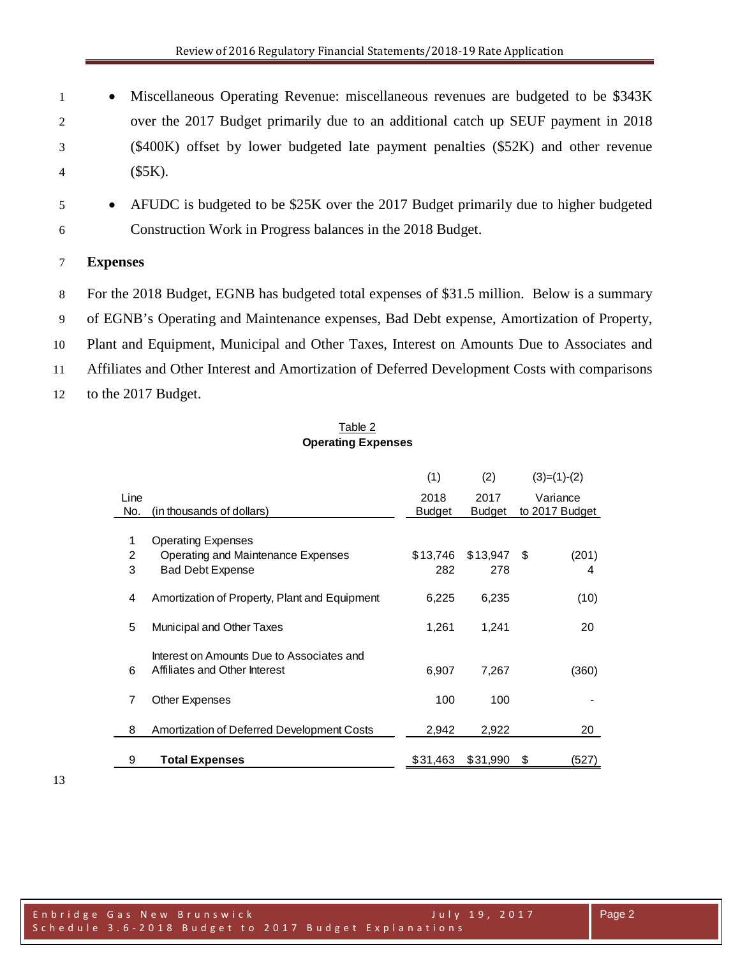• Miscellaneous Operating Revenue: miscellaneous revenues are budgeted to be \$343K over the 2017 Budget primarily due to an additional catch up SEUF payment in 2018 (\$400K) offset by lower budgeted late payment penalties (\$52K) and other revenue (\$5K).

 • AFUDC is budgeted to be \$25K over the 2017 Budget primarily due to higher budgeted Construction Work in Progress balances in the 2018 Budget.

# **Expenses**

 For the 2018 Budget, EGNB has budgeted total expenses of \$31.5 million. Below is a summary of EGNB's Operating and Maintenance expenses, Bad Debt expense, Amortization of Property, Plant and Equipment, Municipal and Other Taxes, Interest on Amounts Due to Associates and Affiliates and Other Interest and Amortization of Deferred Development Costs with comparisons to the 2017 Budget.

#### Table 2 **Operating Expenses**

|                |                                               | (1)      | (2)           | $(3)=(1)-(2)$              |
|----------------|-----------------------------------------------|----------|---------------|----------------------------|
| Line<br>No.    |                                               | 2018     | 2017          | Variance<br>to 2017 Budget |
|                | (in thousands of dollars)                     | Budget   | <b>Budget</b> |                            |
| 1              | <b>Operating Expenses</b>                     |          |               |                            |
| $\overline{2}$ | Operating and Maintenance Expenses            | \$13,746 | \$13,947      | (201)<br>- \$              |
| 3              | <b>Bad Debt Expense</b>                       | 282      | 278           | 4                          |
|                |                                               |          |               |                            |
| 4              | Amortization of Property, Plant and Equipment | 6,225    | 6,235         | (10)                       |
| 5              | Municipal and Other Taxes                     | 1,261    | 1,241         | 20                         |
|                |                                               |          |               |                            |
|                | Interest on Amounts Due to Associates and     |          |               |                            |
| 6              | Affiliates and Other Interest                 | 6,907    | 7,267         | (360)                      |
|                |                                               |          |               |                            |
| 7              | Other Expenses                                | 100      | 100           |                            |
|                |                                               |          |               |                            |
| 8              | Amortization of Deferred Development Costs    | 2,942    | 2,922         | 20                         |
|                |                                               |          |               |                            |
| 9              | <b>Total Expenses</b>                         | \$31,463 | \$31,990      | (527)<br>\$                |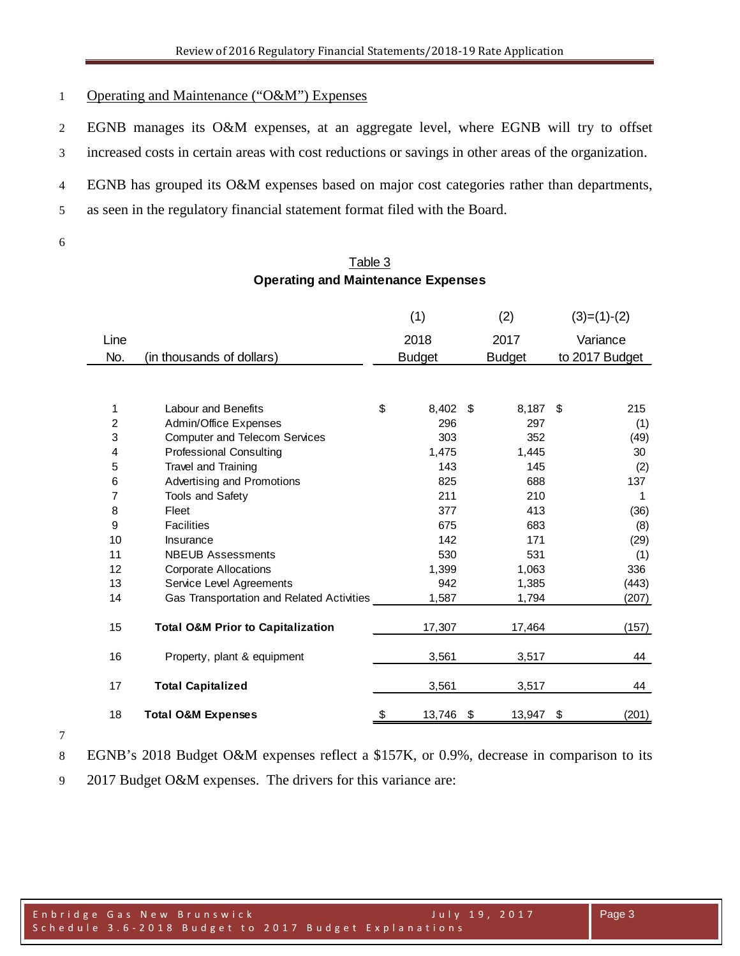## 1 Operating and Maintenance ("O&M") Expenses

EGNB manages its O&M expenses, at an aggregate level, where EGNB will try to offset

increased costs in certain areas with cost reductions or savings in other areas of the organization.

EGNB has grouped its O&M expenses based on major cost categories rather than departments,

as seen in the regulatory financial statement format filed with the Board.

## Table 3 **Operating and Maintenance Expenses**

|      |                                              | (1)<br>(2)    |    |               | $(3)=(1)-(2)$ |                |
|------|----------------------------------------------|---------------|----|---------------|---------------|----------------|
| Line |                                              | 2018          |    | 2017          |               | Variance       |
| No.  | (in thousands of dollars)                    | <b>Budget</b> |    | <b>Budget</b> |               | to 2017 Budget |
|      |                                              |               |    |               |               |                |
| 1    | <b>Labour and Benefits</b>                   | \$<br>8,402   | -S | 8,187         | -\$           | 215            |
| 2    | Admin/Office Expenses                        | 296           |    | 297           |               | (1)            |
| 3    | <b>Computer and Telecom Services</b>         | 303           |    | 352           |               | (49)           |
| 4    | <b>Professional Consulting</b>               | 1,475         |    | 1,445         |               | 30             |
| 5    | Travel and Training                          | 143           |    | 145           |               | (2)            |
| 6    | Advertising and Promotions                   | 825           |    | 688           |               | 137            |
| 7    | <b>Tools and Safety</b>                      | 211           |    | 210           |               | 1              |
| 8    | Fleet                                        | 377           |    | 413           |               | (36)           |
| 9    | <b>Facilities</b>                            | 675           |    | 683           |               | (8)            |
| 10   | Insurance                                    | 142           |    | 171           |               | (29)           |
| 11   | <b>NBEUB Assessments</b>                     | 530           |    | 531           |               | (1)            |
| 12   | <b>Corporate Allocations</b>                 | 1,399         |    | 1,063         |               | 336            |
| 13   | Service Level Agreements                     | 942           |    | 1,385         |               | (443)          |
| 14   | Gas Transportation and Related Activities    | 1,587         |    | 1,794         |               | (207)          |
| 15   | <b>Total O&amp;M Prior to Capitalization</b> | 17,307        |    | 17,464        |               | (157)          |
| 16   | Property, plant & equipment                  | 3,561         |    | 3,517         |               | 44             |
| 17   | <b>Total Capitalized</b>                     | 3,561         |    | 3,517         |               | 44             |
| 18   | <b>Total O&amp;M Expenses</b>                | \$<br>13,746  | \$ | 13,947        | \$            | (201)          |

EGNB's 2018 Budget O&M expenses reflect a \$157K, or 0.9%, decrease in comparison to its

2017 Budget O&M expenses. The drivers for this variance are: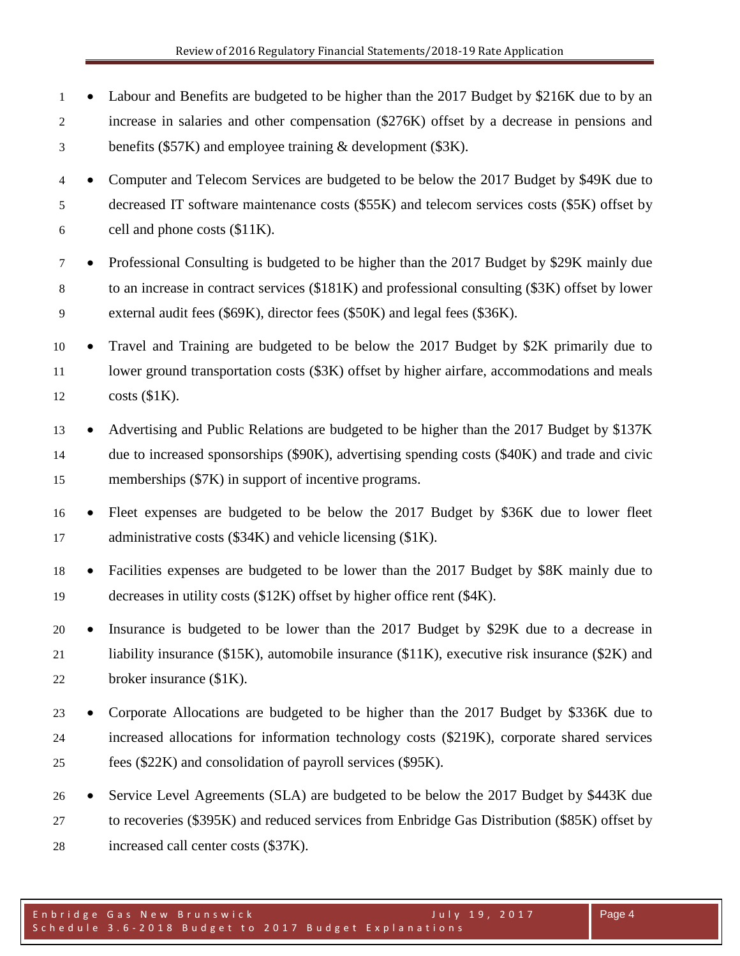• Labour and Benefits are budgeted to be higher than the 2017 Budget by \$216K due to by an increase in salaries and other compensation (\$276K) offset by a decrease in pensions and benefits (\$57K) and employee training & development (\$3K).

 • Computer and Telecom Services are budgeted to be below the 2017 Budget by \$49K due to decreased IT software maintenance costs (\$55K) and telecom services costs (\$5K) offset by cell and phone costs (\$11K).

- Professional Consulting is budgeted to be higher than the 2017 Budget by \$29K mainly due to an increase in contract services (\$181K) and professional consulting (\$3K) offset by lower external audit fees (\$69K), director fees (\$50K) and legal fees (\$36K).
- Travel and Training are budgeted to be below the 2017 Budget by \$2K primarily due to 11 lower ground transportation costs (\$3K) offset by higher airfare, accommodations and meals costs (\$1K).
- 13 Advertising and Public Relations are budgeted to be higher than the 2017 Budget by \$137K due to increased sponsorships (\$90K), advertising spending costs (\$40K) and trade and civic memberships (\$7K) in support of incentive programs.
- Fleet expenses are budgeted to be below the 2017 Budget by \$36K due to lower fleet administrative costs (\$34K) and vehicle licensing (\$1K).
- Facilities expenses are budgeted to be lower than the 2017 Budget by \$8K mainly due to decreases in utility costs (\$12K) offset by higher office rent (\$4K).

 • Insurance is budgeted to be lower than the 2017 Budget by \$29K due to a decrease in liability insurance (\$15K), automobile insurance (\$11K), executive risk insurance (\$2K) and broker insurance (\$1K).

- Corporate Allocations are budgeted to be higher than the 2017 Budget by \$336K due to increased allocations for information technology costs (\$219K), corporate shared services fees (\$22K) and consolidation of payroll services (\$95K).
- Service Level Agreements (SLA) are budgeted to be below the 2017 Budget by \$443K due to recoveries (\$395K) and reduced services from Enbridge Gas Distribution (\$85K) offset by increased call center costs (\$37K).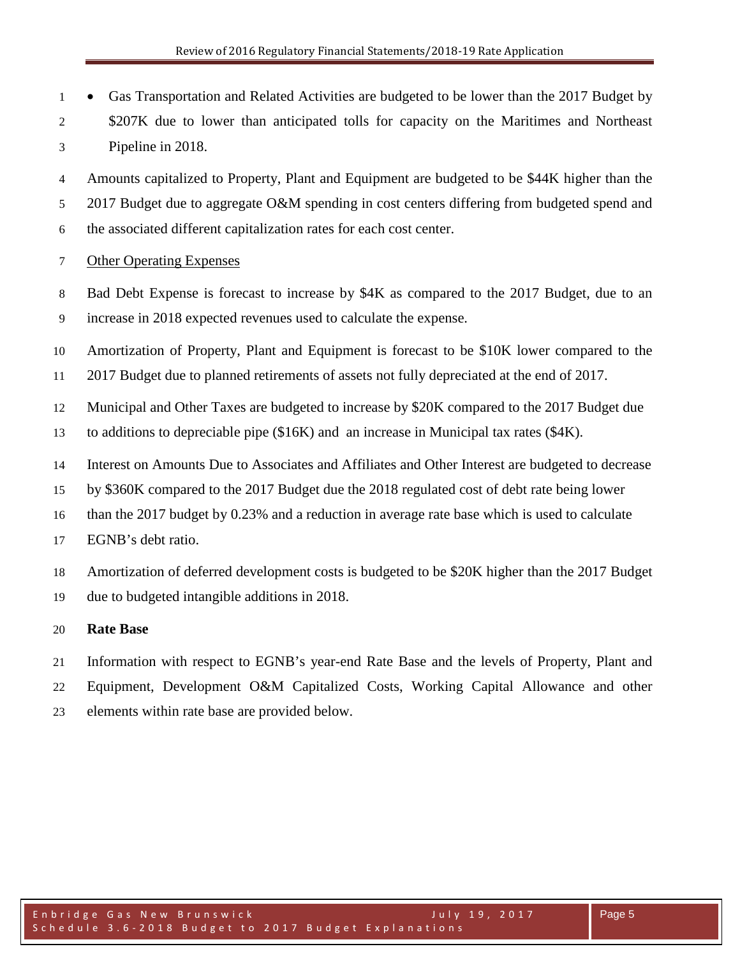• Gas Transportation and Related Activities are budgeted to be lower than the 2017 Budget by 2 \$207K due to lower than anticipated tolls for capacity on the Maritimes and Northeast Pipeline in 2018.

 Amounts capitalized to Property, Plant and Equipment are budgeted to be \$44K higher than the 2017 Budget due to aggregate O&M spending in cost centers differing from budgeted spend and the associated different capitalization rates for each cost center.

- Other Operating Expenses
- Bad Debt Expense is forecast to increase by \$4K as compared to the 2017 Budget, due to an increase in 2018 expected revenues used to calculate the expense.

Amortization of Property, Plant and Equipment is forecast to be \$10K lower compared to the

- 2017 Budget due to planned retirements of assets not fully depreciated at the end of 2017.
- Municipal and Other Taxes are budgeted to increase by \$20K compared to the 2017 Budget due
- to additions to depreciable pipe (\$16K) and an increase in Municipal tax rates (\$4K).
- Interest on Amounts Due to Associates and Affiliates and Other Interest are budgeted to decrease
- by \$360K compared to the 2017 Budget due the 2018 regulated cost of debt rate being lower
- than the 2017 budget by 0.23% and a reduction in average rate base which is used to calculate
- EGNB's debt ratio.
- Amortization of deferred development costs is budgeted to be \$20K higher than the 2017 Budget
- due to budgeted intangible additions in 2018.

## **Rate Base**

- Information with respect to EGNB's year-end Rate Base and the levels of Property, Plant and
- Equipment, Development O&M Capitalized Costs, Working Capital Allowance and other
- elements within rate base are provided below.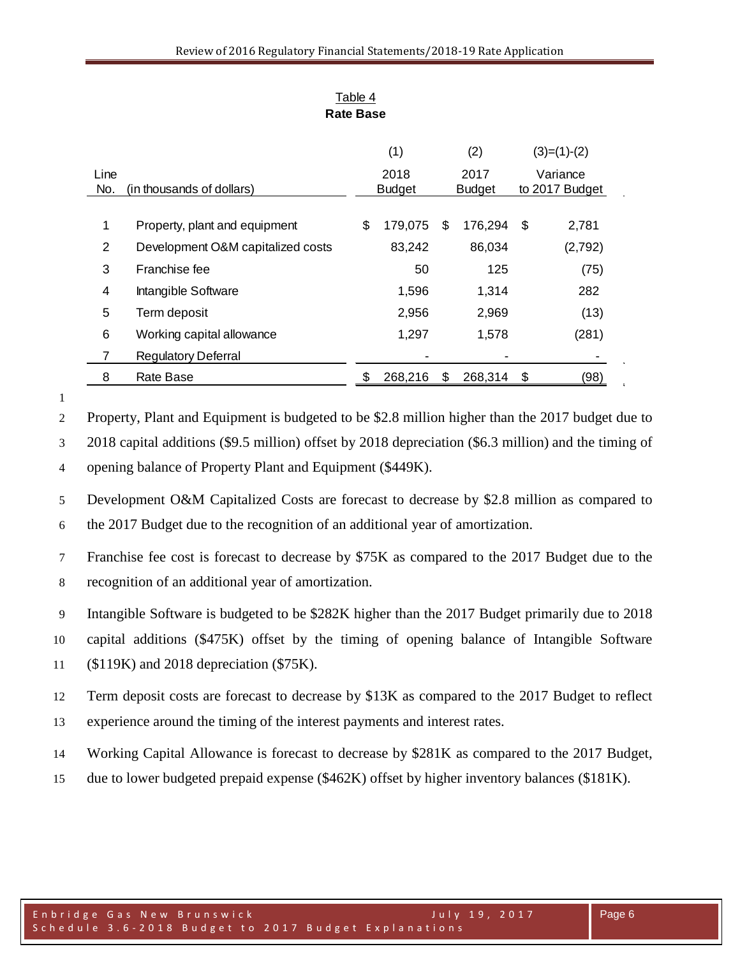| Line |                                   | (1)<br>2018   |         | (2)<br>2017   |         | $(3)=(1)-(2)$<br>Variance |
|------|-----------------------------------|---------------|---------|---------------|---------|---------------------------|
| No.  | (in thousands of dollars)         | <b>Budget</b> |         | <b>Budget</b> |         | to 2017 Budget            |
|      |                                   |               |         |               |         |                           |
| 1    | Property, plant and equipment     | \$            | 179,075 | S             | 176,294 | \$<br>2,781               |
| 2    | Development O&M capitalized costs |               | 83,242  |               | 86,034  | (2,792)                   |
| 3    | Franchise fee                     |               | 50      |               | 125     | (75)                      |
| 4    | Intangible Software               |               | 1,596   |               | 1,314   | 282                       |
| 5    | Term deposit                      |               | 2,956   |               | 2,969   | (13)                      |
| 6    | Working capital allowance         |               | 1,297   |               | 1,578   | (281)                     |
| 7    | <b>Regulatory Deferral</b>        |               |         |               |         |                           |
| 8    | Rate Base                         |               | 268,216 | \$            | 268,314 | \$<br>(98)                |

Table 4 **Rate Base**

Property, Plant and Equipment is budgeted to be \$2.8 million higher than the 2017 budget due to

2018 capital additions (\$9.5 million) offset by 2018 depreciation (\$6.3 million) and the timing of

opening balance of Property Plant and Equipment (\$449K).

 Development O&M Capitalized Costs are forecast to decrease by \$2.8 million as compared to the 2017 Budget due to the recognition of an additional year of amortization.

 Franchise fee cost is forecast to decrease by \$75K as compared to the 2017 Budget due to the recognition of an additional year of amortization.

Intangible Software is budgeted to be \$282K higher than the 2017 Budget primarily due to 2018

capital additions (\$475K) offset by the timing of opening balance of Intangible Software

(\$119K) and 2018 depreciation (\$75K).

Term deposit costs are forecast to decrease by \$13K as compared to the 2017 Budget to reflect

experience around the timing of the interest payments and interest rates.

Working Capital Allowance is forecast to decrease by \$281K as compared to the 2017 Budget,

due to lower budgeted prepaid expense (\$462K) offset by higher inventory balances (\$181K).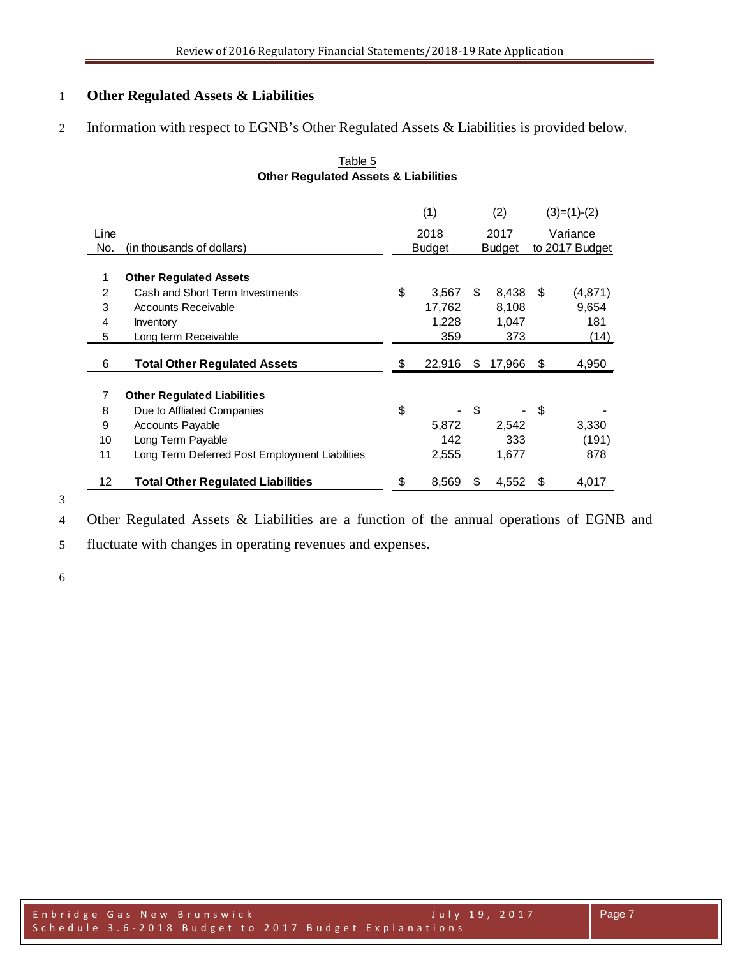# **Other Regulated Assets & Liabilities**

Information with respect to EGNB's Other Regulated Assets & Liabilities is provided below.

|      |                                                | (1)                     |    | (2)            |    | $(3)=(1)-(2)$ |
|------|------------------------------------------------|-------------------------|----|----------------|----|---------------|
| Line |                                                | 2018                    |    | 2017           |    | Variance      |
| No.  | (in thousands of dollars)                      | <b>Budget</b><br>Budget |    | to 2017 Budget |    |               |
| 1    | <b>Other Regulated Assets</b>                  |                         |    |                |    |               |
| 2    | Cash and Short Term Investments                | \$<br>3,567             | S  | 8,438          | S  | (4,871)       |
| 3    | <b>Accounts Receivable</b>                     | 17,762                  |    | 8,108          |    | 9,654         |
| 4    | Inventory                                      | 1,228                   |    | 1,047          |    | 181           |
| 5    | Long term Receivable                           | 359                     |    | 373            |    | (14)          |
| 6    | <b>Total Other Regulated Assets</b>            | \$<br>22,916            | S  | 17,966         | S  | 4,950         |
| 7    | <b>Other Regulated Liabilities</b>             |                         |    |                |    |               |
| 8    | Due to Affliated Companies                     | \$                      | \$ |                | \$ |               |
| 9    | <b>Accounts Payable</b>                        | 5.872                   |    | 2,542          |    | 3,330         |
| 10   | Long Term Payable                              | 142                     |    | 333            |    | (191)         |
| 11   | Long Term Deferred Post Employment Liabilities | 2,555                   |    | 1,677          |    | 878           |
| 12   | <b>Total Other Regulated Liabilities</b>       | \$<br>8,569             | S  | 4,552          | \$ | 4,017         |

## Table 5 **Other Regulated Assets & Liabilities**

Other Regulated Assets & Liabilities are a function of the annual operations of EGNB and

fluctuate with changes in operating revenues and expenses.